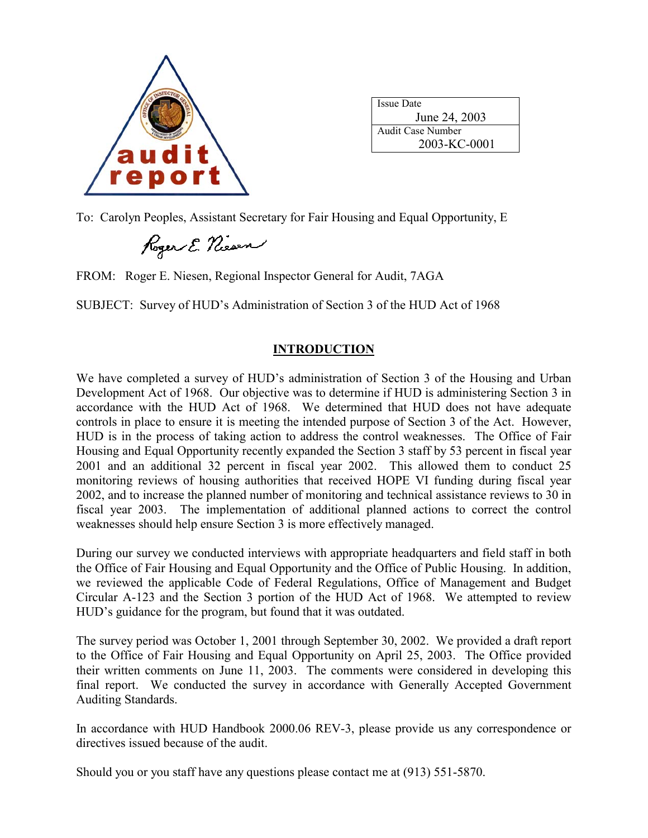

| <b>Issue Date</b> |
|-------------------|
| June 24, 2003     |
| Audit Case Number |
| 2003-KC-0001      |

To: Carolyn Peoples, Assistant Secretary for Fair Housing and Equal Opportunity, E

Roger E. Niesen

FROM: Roger E. Niesen, Regional Inspector General for Audit, 7AGA

SUBJECT: Survey of HUD's Administration of Section 3 of the HUD Act of 1968

## **INTRODUCTION**

We have completed a survey of HUD's administration of Section 3 of the Housing and Urban Development Act of 1968. Our objective was to determine if HUD is administering Section 3 in accordance with the HUD Act of 1968. We determined that HUD does not have adequate controls in place to ensure it is meeting the intended purpose of Section 3 of the Act. However, HUD is in the process of taking action to address the control weaknesses. The Office of Fair Housing and Equal Opportunity recently expanded the Section 3 staff by 53 percent in fiscal year 2001 and an additional 32 percent in fiscal year 2002. This allowed them to conduct 25 monitoring reviews of housing authorities that received HOPE VI funding during fiscal year 2002, and to increase the planned number of monitoring and technical assistance reviews to 30 in fiscal year 2003. The implementation of additional planned actions to correct the control weaknesses should help ensure Section 3 is more effectively managed.

During our survey we conducted interviews with appropriate headquarters and field staff in both the Office of Fair Housing and Equal Opportunity and the Office of Public Housing. In addition, we reviewed the applicable Code of Federal Regulations, Office of Management and Budget Circular A-123 and the Section 3 portion of the HUD Act of 1968. We attempted to review HUD's guidance for the program, but found that it was outdated.

The survey period was October 1, 2001 through September 30, 2002. We provided a draft report to the Office of Fair Housing and Equal Opportunity on April 25, 2003. The Office provided their written comments on June 11, 2003. The comments were considered in developing this final report. We conducted the survey in accordance with Generally Accepted Government Auditing Standards.

In accordance with HUD Handbook 2000.06 REV-3, please provide us any correspondence or directives issued because of the audit.

Should you or you staff have any questions please contact me at (913) 551-5870.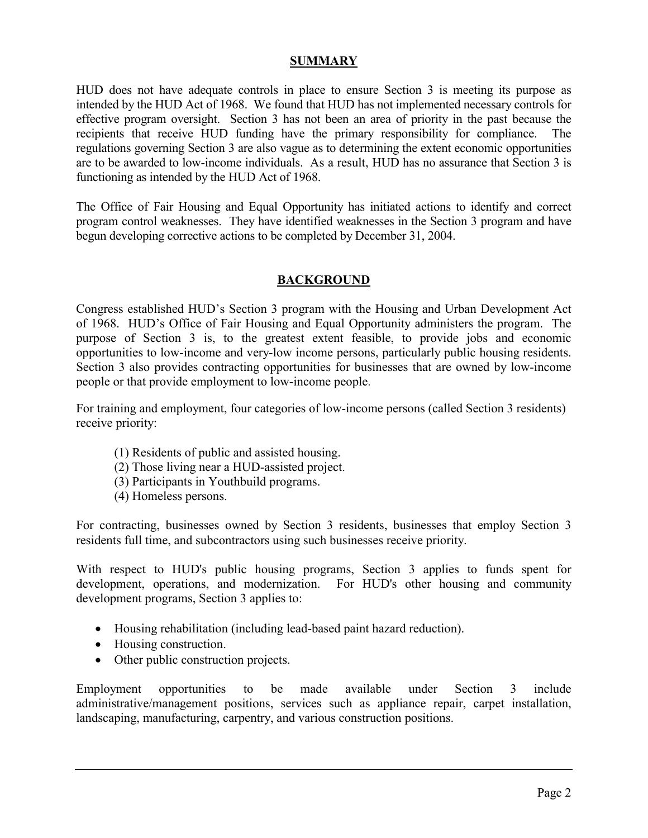### **SUMMARY**

HUD does not have adequate controls in place to ensure Section 3 is meeting its purpose as intended by the HUD Act of 1968. We found that HUD has not implemented necessary controls for effective program oversight. Section 3 has not been an area of priority in the past because the recipients that receive HUD funding have the primary responsibility for compliance. The regulations governing Section 3 are also vague as to determining the extent economic opportunities are to be awarded to low-income individuals. As a result, HUD has no assurance that Section 3 is functioning as intended by the HUD Act of 1968.

The Office of Fair Housing and Equal Opportunity has initiated actions to identify and correct program control weaknesses. They have identified weaknesses in the Section 3 program and have begun developing corrective actions to be completed by December 31, 2004.

### **BACKGROUND**

Congress established HUD's Section 3 program with the Housing and Urban Development Act of 1968. HUD's Office of Fair Housing and Equal Opportunity administers the program. The purpose of Section 3 is, to the greatest extent feasible, to provide jobs and economic opportunities to low-income and very-low income persons, particularly public housing residents. Section 3 also provides contracting opportunities for businesses that are owned by low-income people or that provide employment to low-income people.

For training and employment, four categories of low-income persons (called Section 3 residents) receive priority:

- (1) Residents of public and assisted housing.
- (2) Those living near a HUD-assisted project.
- (3) Participants in Youthbuild programs.
- (4) Homeless persons.

For contracting, businesses owned by Section 3 residents, businesses that employ Section 3 residents full time, and subcontractors using such businesses receive priority.

With respect to HUD's public housing programs, Section 3 applies to funds spent for development, operations, and modernization. For HUD's other housing and community development programs, Section 3 applies to:

- Housing rehabilitation (including lead-based paint hazard reduction).
- Housing construction.
- Other public construction projects.

Employment opportunities to be made available under Section 3 include administrative/management positions, services such as appliance repair, carpet installation, landscaping, manufacturing, carpentry, and various construction positions.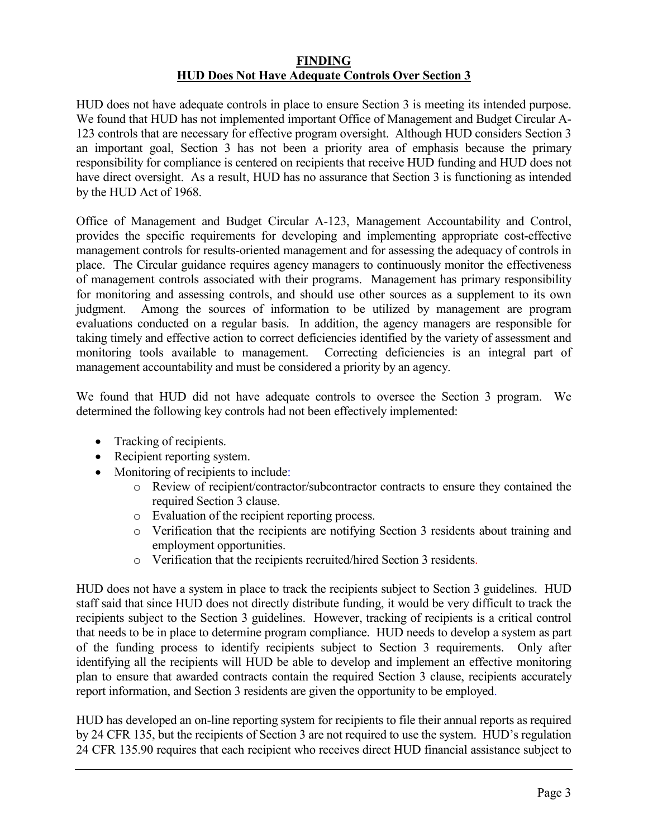#### **FINDING HUD Does Not Have Adequate Controls Over Section 3**

HUD does not have adequate controls in place to ensure Section 3 is meeting its intended purpose. We found that HUD has not implemented important Office of Management and Budget Circular A-123 controls that are necessary for effective program oversight. Although HUD considers Section 3 an important goal, Section 3 has not been a priority area of emphasis because the primary responsibility for compliance is centered on recipients that receive HUD funding and HUD does not have direct oversight. As a result, HUD has no assurance that Section 3 is functioning as intended by the HUD Act of 1968.

Office of Management and Budget Circular A-123, Management Accountability and Control, provides the specific requirements for developing and implementing appropriate cost-effective management controls for results-oriented management and for assessing the adequacy of controls in place. The Circular guidance requires agency managers to continuously monitor the effectiveness of management controls associated with their programs. Management has primary responsibility for monitoring and assessing controls, and should use other sources as a supplement to its own judgment. Among the sources of information to be utilized by management are program evaluations conducted on a regular basis. In addition, the agency managers are responsible for taking timely and effective action to correct deficiencies identified by the variety of assessment and monitoring tools available to management. Correcting deficiencies is an integral part of management accountability and must be considered a priority by an agency.

We found that HUD did not have adequate controls to oversee the Section 3 program. We determined the following key controls had not been effectively implemented:

- Tracking of recipients.
- Recipient reporting system.
- Monitoring of recipients to include:
	- o Review of recipient/contractor/subcontractor contracts to ensure they contained the required Section 3 clause.
	- o Evaluation of the recipient reporting process.
	- o Verification that the recipients are notifying Section 3 residents about training and employment opportunities.
	- o Verification that the recipients recruited/hired Section 3 residents.

HUD does not have a system in place to track the recipients subject to Section 3 guidelines. HUD staff said that since HUD does not directly distribute funding, it would be very difficult to track the recipients subject to the Section 3 guidelines. However, tracking of recipients is a critical control that needs to be in place to determine program compliance. HUD needs to develop a system as part of the funding process to identify recipients subject to Section 3 requirements. Only after identifying all the recipients will HUD be able to develop and implement an effective monitoring plan to ensure that awarded contracts contain the required Section 3 clause, recipients accurately report information, and Section 3 residents are given the opportunity to be employed.

HUD has developed an on-line reporting system for recipients to file their annual reports as required by 24 CFR 135, but the recipients of Section 3 are not required to use the system. HUD's regulation 24 CFR 135.90 requires that each recipient who receives direct HUD financial assistance subject to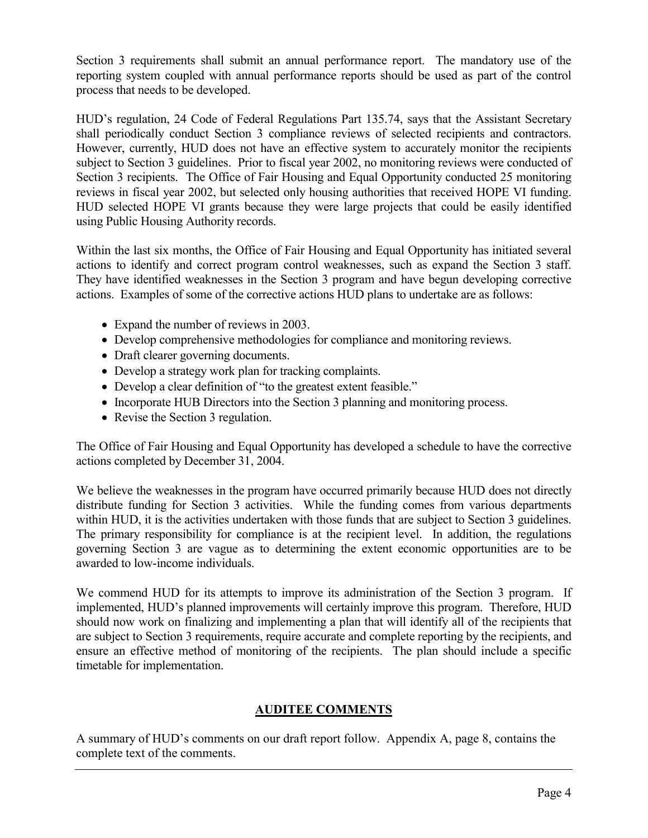Section 3 requirements shall submit an annual performance report. The mandatory use of the reporting system coupled with annual performance reports should be used as part of the control process that needs to be developed.

HUD's regulation, 24 Code of Federal Regulations Part 135.74, says that the Assistant Secretary shall periodically conduct Section 3 compliance reviews of selected recipients and contractors. However, currently, HUD does not have an effective system to accurately monitor the recipients subject to Section 3 guidelines. Prior to fiscal year 2002, no monitoring reviews were conducted of Section 3 recipients. The Office of Fair Housing and Equal Opportunity conducted 25 monitoring reviews in fiscal year 2002, but selected only housing authorities that received HOPE VI funding. HUD selected HOPE VI grants because they were large projects that could be easily identified using Public Housing Authority records.

Within the last six months, the Office of Fair Housing and Equal Opportunity has initiated several actions to identify and correct program control weaknesses, such as expand the Section 3 staff. They have identified weaknesses in the Section 3 program and have begun developing corrective actions. Examples of some of the corrective actions HUD plans to undertake are as follows:

- Expand the number of reviews in 2003.
- Develop comprehensive methodologies for compliance and monitoring reviews.
- Draft clearer governing documents.
- Develop a strategy work plan for tracking complaints.
- Develop a clear definition of "to the greatest extent feasible."
- Incorporate HUB Directors into the Section 3 planning and monitoring process.
- Revise the Section 3 regulation.

The Office of Fair Housing and Equal Opportunity has developed a schedule to have the corrective actions completed by December 31, 2004.

We believe the weaknesses in the program have occurred primarily because HUD does not directly distribute funding for Section 3 activities. While the funding comes from various departments within HUD, it is the activities undertaken with those funds that are subject to Section 3 guidelines. The primary responsibility for compliance is at the recipient level. In addition, the regulations governing Section 3 are vague as to determining the extent economic opportunities are to be awarded to low-income individuals.

We commend HUD for its attempts to improve its administration of the Section 3 program. If implemented, HUD's planned improvements will certainly improve this program. Therefore, HUD should now work on finalizing and implementing a plan that will identify all of the recipients that are subject to Section 3 requirements, require accurate and complete reporting by the recipients, and ensure an effective method of monitoring of the recipients. The plan should include a specific timetable for implementation.

## **AUDITEE COMMENTS**

A summary of HUD's comments on our draft report follow. Appendix A, page 8, contains the complete text of the comments.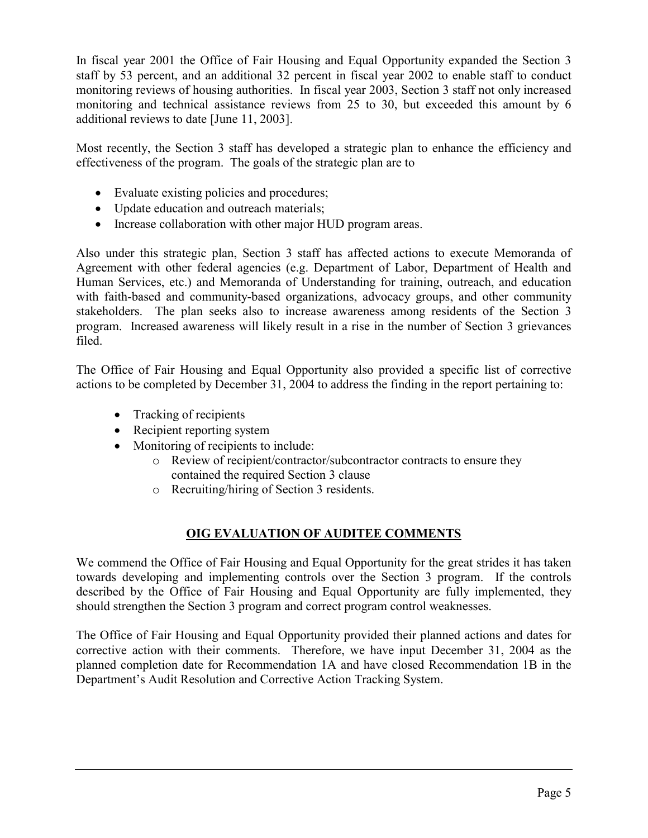In fiscal year 2001 the Office of Fair Housing and Equal Opportunity expanded the Section 3 staff by 53 percent, and an additional 32 percent in fiscal year 2002 to enable staff to conduct monitoring reviews of housing authorities. In fiscal year 2003, Section 3 staff not only increased monitoring and technical assistance reviews from 25 to 30, but exceeded this amount by 6 additional reviews to date [June 11, 2003].

Most recently, the Section 3 staff has developed a strategic plan to enhance the efficiency and effectiveness of the program. The goals of the strategic plan are to

- Evaluate existing policies and procedures;
- Update education and outreach materials;
- Increase collaboration with other major HUD program areas.

Also under this strategic plan, Section 3 staff has affected actions to execute Memoranda of Agreement with other federal agencies (e.g. Department of Labor, Department of Health and Human Services, etc.) and Memoranda of Understanding for training, outreach, and education with faith-based and community-based organizations, advocacy groups, and other community stakeholders. The plan seeks also to increase awareness among residents of the Section 3 program. Increased awareness will likely result in a rise in the number of Section 3 grievances filed.

The Office of Fair Housing and Equal Opportunity also provided a specific list of corrective actions to be completed by December 31, 2004 to address the finding in the report pertaining to:

- Tracking of recipients
- Recipient reporting system
- Monitoring of recipients to include:
	- o Review of recipient/contractor/subcontractor contracts to ensure they contained the required Section 3 clause
	- o Recruiting/hiring of Section 3 residents.

## **OIG EVALUATION OF AUDITEE COMMENTS**

We commend the Office of Fair Housing and Equal Opportunity for the great strides it has taken towards developing and implementing controls over the Section 3 program. If the controls described by the Office of Fair Housing and Equal Opportunity are fully implemented, they should strengthen the Section 3 program and correct program control weaknesses.

The Office of Fair Housing and Equal Opportunity provided their planned actions and dates for corrective action with their comments. Therefore, we have input December 31, 2004 as the planned completion date for Recommendation 1A and have closed Recommendation 1B in the Department's Audit Resolution and Corrective Action Tracking System.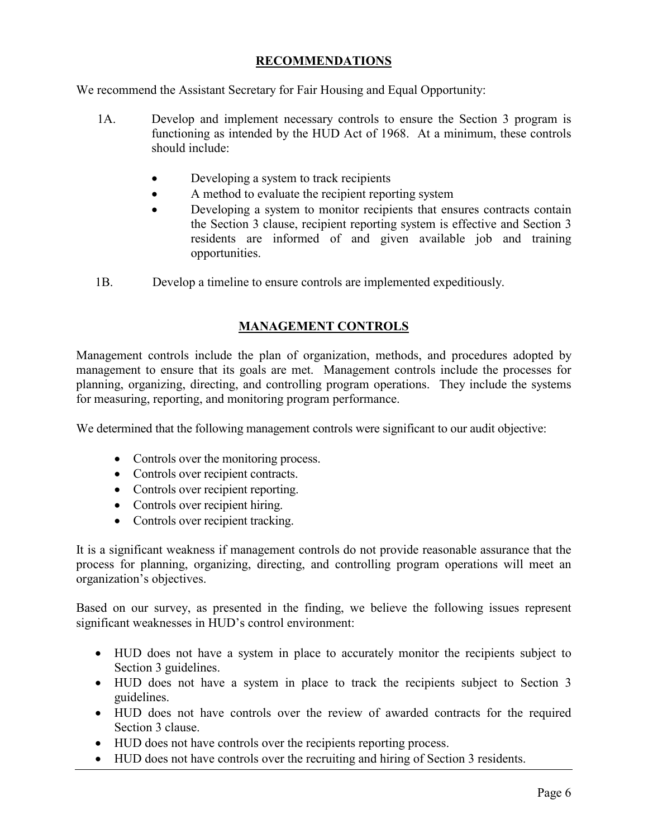## **RECOMMENDATIONS**

We recommend the Assistant Secretary for Fair Housing and Equal Opportunity:

- 1A. Develop and implement necessary controls to ensure the Section 3 program is functioning as intended by the HUD Act of 1968. At a minimum, these controls should include:
	- -Developing a system to track recipients
	- $\bullet$ A method to evaluate the recipient reporting system
	- - Developing a system to monitor recipients that ensures contracts contain the Section 3 clause, recipient reporting system is effective and Section 3 residents are informed of and given available job and training opportunities.
- 1B. Develop a timeline to ensure controls are implemented expeditiously.

## **MANAGEMENT CONTROLS**

Management controls include the plan of organization, methods, and procedures adopted by management to ensure that its goals are met. Management controls include the processes for planning, organizing, directing, and controlling program operations. They include the systems for measuring, reporting, and monitoring program performance.

We determined that the following management controls were significant to our audit objective:

- Controls over the monitoring process.
- Controls over recipient contracts.
- Controls over recipient reporting.
- Controls over recipient hiring.
- Controls over recipient tracking.

It is a significant weakness if management controls do not provide reasonable assurance that the process for planning, organizing, directing, and controlling program operations will meet an organization's objectives.

Based on our survey, as presented in the finding, we believe the following issues represent significant weaknesses in HUD's control environment:

- HUD does not have a system in place to accurately monitor the recipients subject to Section 3 guidelines.
- HUD does not have a system in place to track the recipients subject to Section 3 guidelines.
- HUD does not have controls over the review of awarded contracts for the required Section 3 clause.
- HUD does not have controls over the recipients reporting process.
- HUD does not have controls over the recruiting and hiring of Section 3 residents.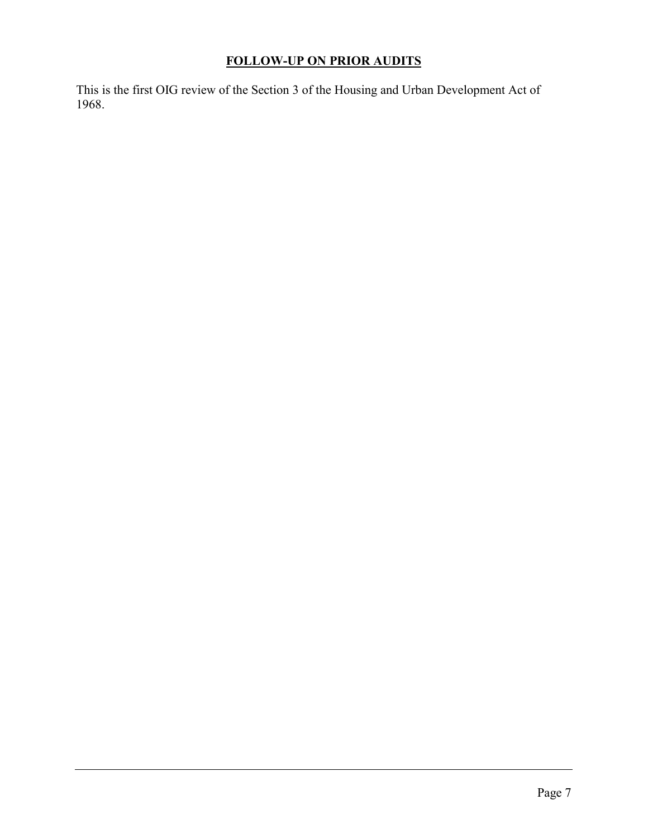# **FOLLOW-UP ON PRIOR AUDITS**

This is the first OIG review of the Section 3 of the Housing and Urban Development Act of 1968.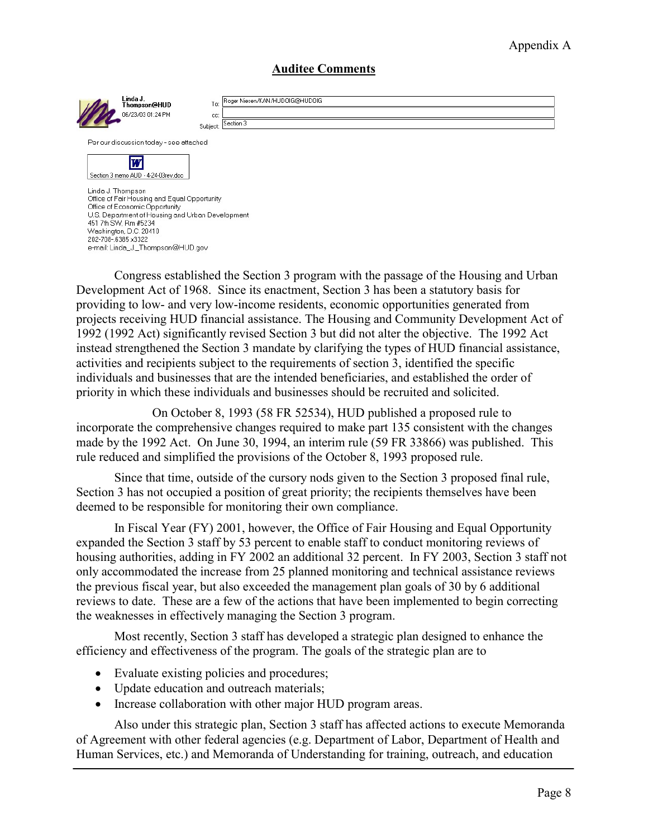## Appendix A

### **Auditee Comments**

| Linda J.<br>Thompson@HUD<br>06/23/03 01:24 PM                                                                                                                                                             | Roger Niesen/KAN/HUDOIG@HUDOIG<br>To:<br>CC:<br>Section 3<br>Subject: |  |
|-----------------------------------------------------------------------------------------------------------------------------------------------------------------------------------------------------------|-----------------------------------------------------------------------|--|
| Per our discussion today - see attached                                                                                                                                                                   |                                                                       |  |
| ш<br>Section 3 memo AUD - 4-24-03rev.doc                                                                                                                                                                  |                                                                       |  |
| Linda J. Thompson<br>Office of Fair Housing and Equal Opportunity<br>Office of Economic Opportunity<br>U.S. Department of Housing and Urban Development<br>451 7th SW, Rm #5234<br>Washington, D.C. 20410 |                                                                       |  |

Congress established the Section 3 program with the passage of the Housing and Urban Development Act of 1968. Since its enactment, Section 3 has been a statutory basis for providing to low- and very low-income residents, economic opportunities generated from projects receiving HUD financial assistance. The Housing and Community Development Act of 1992 (1992 Act) significantly revised Section 3 but did not alter the objective. The 1992 Act instead strengthened the Section 3 mandate by clarifying the types of HUD financial assistance, activities and recipients subject to the requirements of section 3, identified the specific individuals and businesses that are the intended beneficiaries, and established the order of priority in which these individuals and businesses should be recruited and solicited.

On October 8, 1993 (58 FR 52534), HUD published a proposed rule to incorporate the comprehensive changes required to make part 135 consistent with the changes made by the 1992 Act. On June 30, 1994, an interim rule (59 FR 33866) was published. This rule reduced and simplified the provisions of the October 8, 1993 proposed rule.

Since that time, outside of the cursory nods given to the Section 3 proposed final rule, Section 3 has not occupied a position of great priority; the recipients themselves have been deemed to be responsible for monitoring their own compliance.

In Fiscal Year (FY) 2001, however, the Office of Fair Housing and Equal Opportunity expanded the Section 3 staff by 53 percent to enable staff to conduct monitoring reviews of housing authorities, adding in FY 2002 an additional 32 percent. In FY 2003, Section 3 staff not only accommodated the increase from 25 planned monitoring and technical assistance reviews the previous fiscal year, but also exceeded the management plan goals of 30 by 6 additional reviews to date. These are a few of the actions that have been implemented to begin correcting the weaknesses in effectively managing the Section 3 program.

Most recently, Section 3 staff has developed a strategic plan designed to enhance the efficiency and effectiveness of the program. The goals of the strategic plan are to

- Evaluate existing policies and procedures;

202-708-6385x3322

e-mail: Linda\_J.\_Thompson@HUD.gov

- Update education and outreach materials;
- Increase collaboration with other major HUD program areas.

Also under this strategic plan, Section 3 staff has affected actions to execute Memoranda of Agreement with other federal agencies (e.g. Department of Labor, Department of Health and Human Services, etc.) and Memoranda of Understanding for training, outreach, and education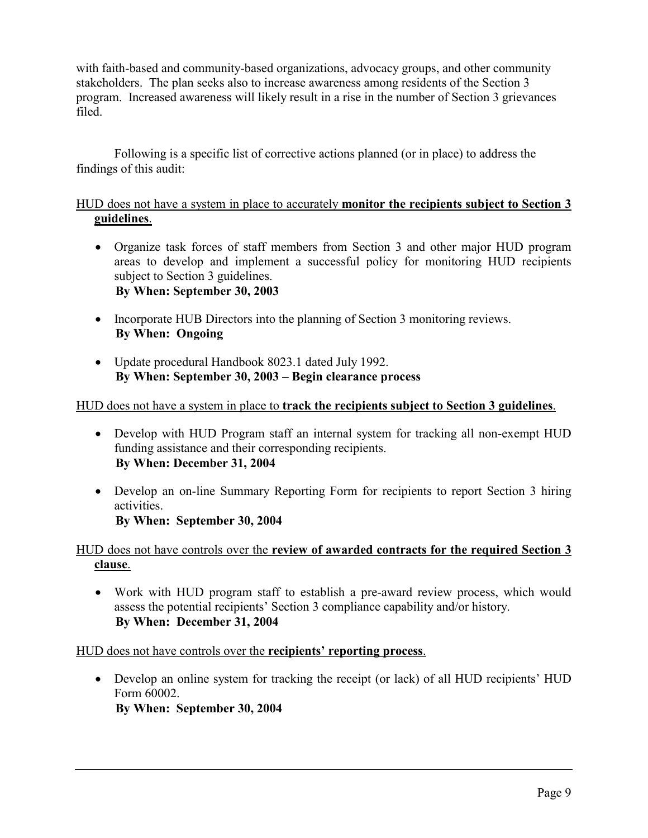with faith-based and community-based organizations, advocacy groups, and other community stakeholders. The plan seeks also to increase awareness among residents of the Section 3 program. Increased awareness will likely result in a rise in the number of Section 3 grievances filed.

Following is a specific list of corrective actions planned (or in place) to address the findings of this audit:

## HUD does not have a system in place to accurately **monitor the recipients subject to Section 3 guidelines**.

- Organize task forces of staff members from Section 3 and other major HUD program areas to develop and implement a successful policy for monitoring HUD recipients subject to Section 3 guidelines. **By When: September 30, 2003**
- Incorporate HUB Directors into the planning of Section 3 monitoring reviews. **By When: Ongoing**
- Update procedural Handbook 8023.1 dated July 1992. **By When: September 30, 2003 – Begin clearance process**

## HUD does not have a system in place to **track the recipients subject to Section 3 guidelines**.

- Develop with HUD Program staff an internal system for tracking all non-exempt HUD funding assistance and their corresponding recipients. **By When: December 31, 2004**
- Develop an on-line Summary Reporting Form for recipients to report Section 3 hiring activities. **By When: September 30, 2004**

### HUD does not have controls over the **review of awarded contracts for the required Section 3 clause**.

- Work with HUD program staff to establish a pre-award review process, which would assess the potential recipients' Section 3 compliance capability and/or history. **By When: December 31, 2004** 

HUD does not have controls over the **recipients' reporting process**.

- Develop an online system for tracking the receipt (or lack) of all HUD recipients' HUD Form 60002. **By When: September 30, 2004**